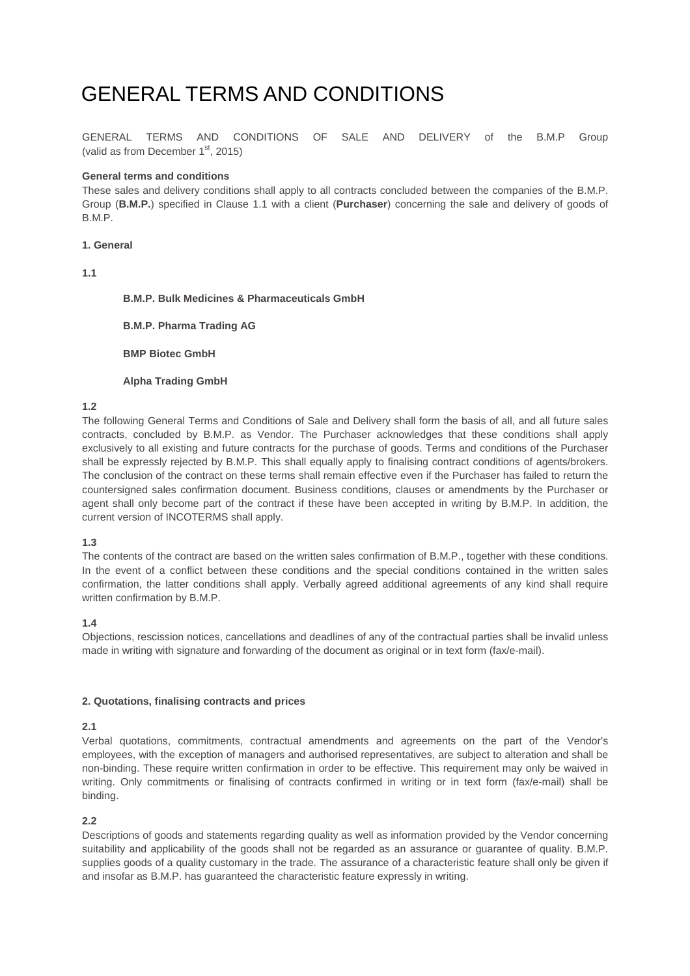# GENERAL TERMS AND CONDITIONS

GENERAL TERMS AND CONDITIONS OF SALE AND DELIVERY of the B.M.P Group (valid as from December  $1<sup>st</sup>$ , 2015)

## **General terms and conditions**

These sales and delivery conditions shall apply to all contracts concluded between the companies of the B.M.P. Group (**B.M.P.**) specified in Clause 1.1 with a client (**Purchaser**) concerning the sale and delivery of goods of B.M.P.

#### **1. General**

**1.1** 

## **B.M.P. Bulk Medicines & Pharmaceuticals GmbH**

**B.M.P. Pharma Trading AG** 

**BMP Biotec GmbH** 

### **Alpha Trading GmbH**

## **1.2**

The following General Terms and Conditions of Sale and Delivery shall form the basis of all, and all future sales contracts, concluded by B.M.P. as Vendor. The Purchaser acknowledges that these conditions shall apply exclusively to all existing and future contracts for the purchase of goods. Terms and conditions of the Purchaser shall be expressly rejected by B.M.P. This shall equally apply to finalising contract conditions of agents/brokers. The conclusion of the contract on these terms shall remain effective even if the Purchaser has failed to return the countersigned sales confirmation document. Business conditions, clauses or amendments by the Purchaser or agent shall only become part of the contract if these have been accepted in writing by B.M.P. In addition, the current version of INCOTERMS shall apply.

## **1.3**

The contents of the contract are based on the written sales confirmation of B.M.P., together with these conditions. In the event of a conflict between these conditions and the special conditions contained in the written sales confirmation, the latter conditions shall apply. Verbally agreed additional agreements of any kind shall require written confirmation by B.M.P.

## **1.4**

Objections, rescission notices, cancellations and deadlines of any of the contractual parties shall be invalid unless made in writing with signature and forwarding of the document as original or in text form (fax/e-mail).

## **2. Quotations, finalising contracts and prices**

## **2.1**

Verbal quotations, commitments, contractual amendments and agreements on the part of the Vendor's employees, with the exception of managers and authorised representatives, are subject to alteration and shall be non-binding. These require written confirmation in order to be effective. This requirement may only be waived in writing. Only commitments or finalising of contracts confirmed in writing or in text form (fax/e-mail) shall be binding.

## **2.2**

Descriptions of goods and statements regarding quality as well as information provided by the Vendor concerning suitability and applicability of the goods shall not be regarded as an assurance or guarantee of quality. B.M.P. supplies goods of a quality customary in the trade. The assurance of a characteristic feature shall only be given if and insofar as B.M.P. has guaranteed the characteristic feature expressly in writing.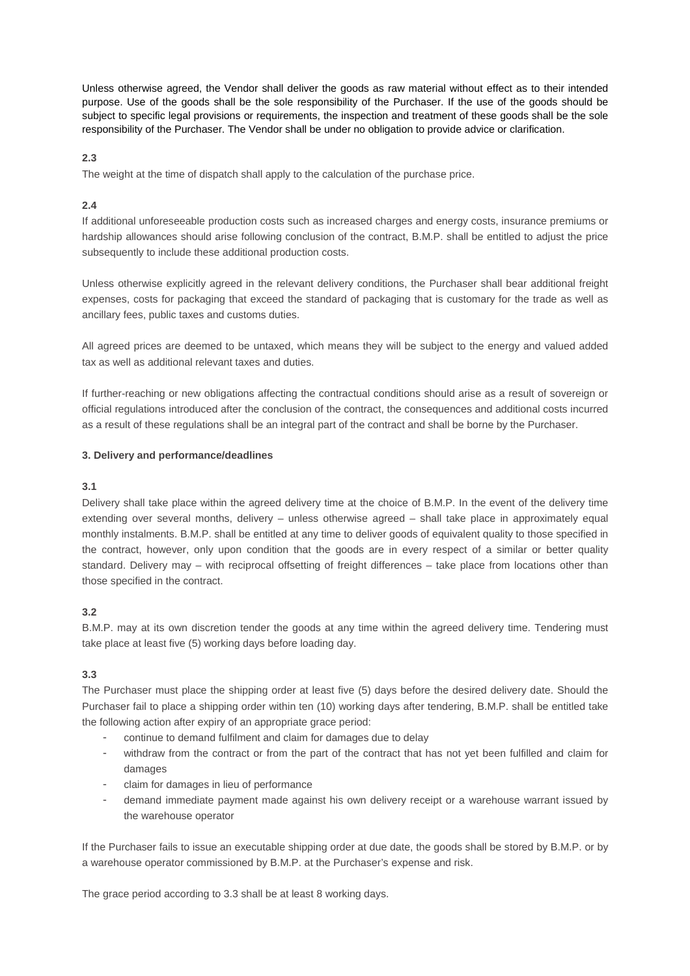Unless otherwise agreed, the Vendor shall deliver the goods as raw material without effect as to their intended purpose. Use of the goods shall be the sole responsibility of the Purchaser. If the use of the goods should be subject to specific legal provisions or requirements, the inspection and treatment of these goods shall be the sole responsibility of the Purchaser. The Vendor shall be under no obligation to provide advice or clarification.

## **2.3**

The weight at the time of dispatch shall apply to the calculation of the purchase price.

# **2.4**

If additional unforeseeable production costs such as increased charges and energy costs, insurance premiums or hardship allowances should arise following conclusion of the contract, B.M.P. shall be entitled to adjust the price subsequently to include these additional production costs.

Unless otherwise explicitly agreed in the relevant delivery conditions, the Purchaser shall bear additional freight expenses, costs for packaging that exceed the standard of packaging that is customary for the trade as well as ancillary fees, public taxes and customs duties.

All agreed prices are deemed to be untaxed, which means they will be subject to the energy and valued added tax as well as additional relevant taxes and duties.

If further-reaching or new obligations affecting the contractual conditions should arise as a result of sovereign or official regulations introduced after the conclusion of the contract, the consequences and additional costs incurred as a result of these regulations shall be an integral part of the contract and shall be borne by the Purchaser.

# **3. Delivery and performance/deadlines**

# **3.1**

Delivery shall take place within the agreed delivery time at the choice of B.M.P. In the event of the delivery time extending over several months, delivery – unless otherwise agreed – shall take place in approximately equal monthly instalments. B.M.P. shall be entitled at any time to deliver goods of equivalent quality to those specified in the contract, however, only upon condition that the goods are in every respect of a similar or better quality standard. Delivery may – with reciprocal offsetting of freight differences – take place from locations other than those specified in the contract.

# **3.2**

B.M.P. may at its own discretion tender the goods at any time within the agreed delivery time. Tendering must take place at least five (5) working days before loading day.

# **3.3**

The Purchaser must place the shipping order at least five (5) days before the desired delivery date. Should the Purchaser fail to place a shipping order within ten (10) working days after tendering, B.M.P. shall be entitled take the following action after expiry of an appropriate grace period:

- continue to demand fulfilment and claim for damages due to delay
- withdraw from the contract or from the part of the contract that has not yet been fulfilled and claim for damages
- claim for damages in lieu of performance
- demand immediate payment made against his own delivery receipt or a warehouse warrant issued by the warehouse operator

If the Purchaser fails to issue an executable shipping order at due date, the goods shall be stored by B.M.P. or by a warehouse operator commissioned by B.M.P. at the Purchaser's expense and risk.

The grace period according to 3.3 shall be at least 8 working days.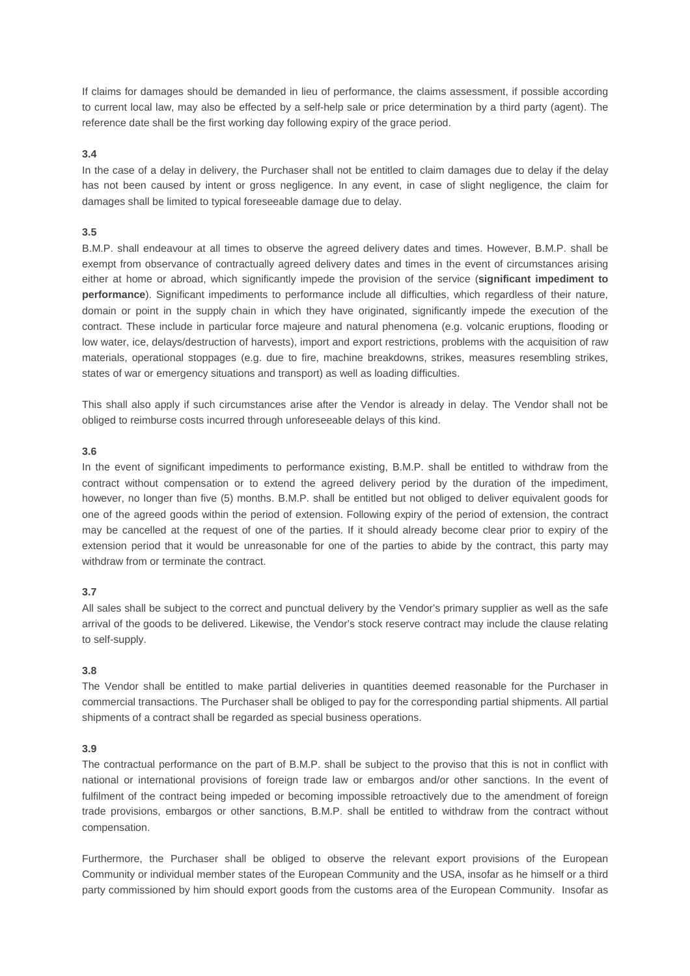If claims for damages should be demanded in lieu of performance, the claims assessment, if possible according to current local law, may also be effected by a self-help sale or price determination by a third party (agent). The reference date shall be the first working day following expiry of the grace period.

### **3.4**

In the case of a delay in delivery, the Purchaser shall not be entitled to claim damages due to delay if the delay has not been caused by intent or gross negligence. In any event, in case of slight negligence, the claim for damages shall be limited to typical foreseeable damage due to delay.

### **3.5**

B.M.P. shall endeavour at all times to observe the agreed delivery dates and times. However, B.M.P. shall be exempt from observance of contractually agreed delivery dates and times in the event of circumstances arising either at home or abroad, which significantly impede the provision of the service (**significant impediment to performance**). Significant impediments to performance include all difficulties, which regardless of their nature, domain or point in the supply chain in which they have originated, significantly impede the execution of the contract. These include in particular force majeure and natural phenomena (e.g. volcanic eruptions, flooding or low water, ice, delays/destruction of harvests), import and export restrictions, problems with the acquisition of raw materials, operational stoppages (e.g. due to fire, machine breakdowns, strikes, measures resembling strikes, states of war or emergency situations and transport) as well as loading difficulties.

This shall also apply if such circumstances arise after the Vendor is already in delay. The Vendor shall not be obliged to reimburse costs incurred through unforeseeable delays of this kind.

#### **3.6**

In the event of significant impediments to performance existing, B.M.P. shall be entitled to withdraw from the contract without compensation or to extend the agreed delivery period by the duration of the impediment, however, no longer than five (5) months. B.M.P. shall be entitled but not obliged to deliver equivalent goods for one of the agreed goods within the period of extension. Following expiry of the period of extension, the contract may be cancelled at the request of one of the parties. If it should already become clear prior to expiry of the extension period that it would be unreasonable for one of the parties to abide by the contract, this party may withdraw from or terminate the contract.

## **3.7**

All sales shall be subject to the correct and punctual delivery by the Vendor's primary supplier as well as the safe arrival of the goods to be delivered. Likewise, the Vendor's stock reserve contract may include the clause relating to self-supply.

## **3.8**

The Vendor shall be entitled to make partial deliveries in quantities deemed reasonable for the Purchaser in commercial transactions. The Purchaser shall be obliged to pay for the corresponding partial shipments. All partial shipments of a contract shall be regarded as special business operations.

## **3.9**

The contractual performance on the part of B.M.P. shall be subject to the proviso that this is not in conflict with national or international provisions of foreign trade law or embargos and/or other sanctions. In the event of fulfilment of the contract being impeded or becoming impossible retroactively due to the amendment of foreign trade provisions, embargos or other sanctions, B.M.P. shall be entitled to withdraw from the contract without compensation.

Furthermore, the Purchaser shall be obliged to observe the relevant export provisions of the European Community or individual member states of the European Community and the USA, insofar as he himself or a third party commissioned by him should export goods from the customs area of the European Community. Insofar as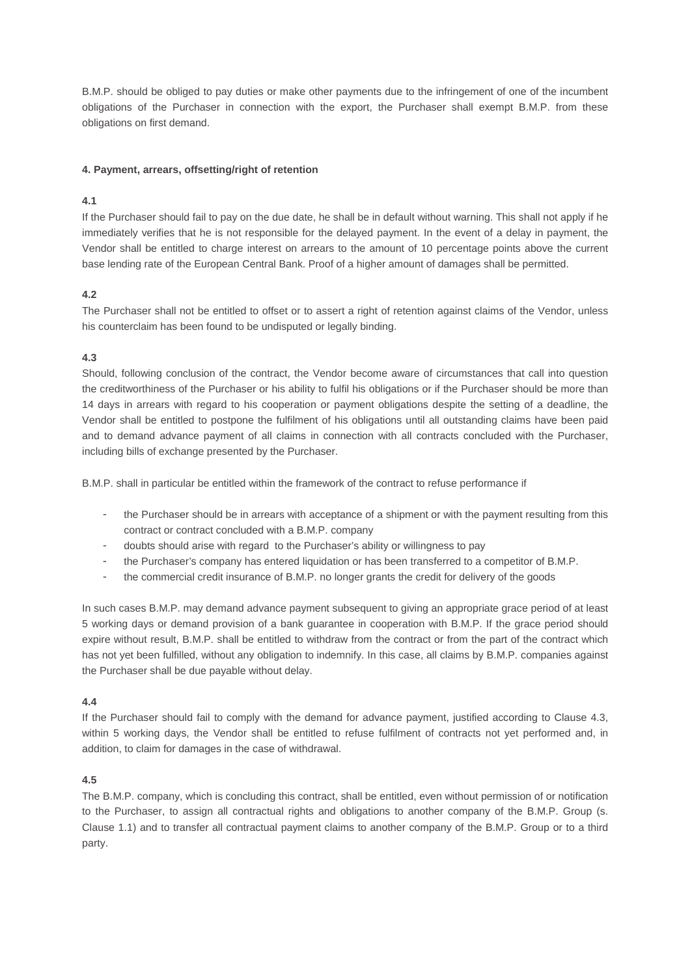B.M.P. should be obliged to pay duties or make other payments due to the infringement of one of the incumbent obligations of the Purchaser in connection with the export, the Purchaser shall exempt B.M.P. from these obligations on first demand.

## **4. Payment, arrears, offsetting/right of retention**

# **4.1**

If the Purchaser should fail to pay on the due date, he shall be in default without warning. This shall not apply if he immediately verifies that he is not responsible for the delayed payment. In the event of a delay in payment, the Vendor shall be entitled to charge interest on arrears to the amount of 10 percentage points above the current base lending rate of the European Central Bank. Proof of a higher amount of damages shall be permitted.

# **4.2**

The Purchaser shall not be entitled to offset or to assert a right of retention against claims of the Vendor, unless his counterclaim has been found to be undisputed or legally binding.

# **4.3**

Should, following conclusion of the contract, the Vendor become aware of circumstances that call into question the creditworthiness of the Purchaser or his ability to fulfil his obligations or if the Purchaser should be more than 14 days in arrears with regard to his cooperation or payment obligations despite the setting of a deadline, the Vendor shall be entitled to postpone the fulfilment of his obligations until all outstanding claims have been paid and to demand advance payment of all claims in connection with all contracts concluded with the Purchaser, including bills of exchange presented by the Purchaser.

B.M.P. shall in particular be entitled within the framework of the contract to refuse performance if

- the Purchaser should be in arrears with acceptance of a shipment or with the payment resulting from this contract or contract concluded with a B.M.P. company
- doubts should arise with regard to the Purchaser's ability or willingness to pay
- the Purchaser's company has entered liquidation or has been transferred to a competitor of B.M.P.
- the commercial credit insurance of B.M.P. no longer grants the credit for delivery of the goods

In such cases B.M.P. may demand advance payment subsequent to giving an appropriate grace period of at least 5 working days or demand provision of a bank guarantee in cooperation with B.M.P. If the grace period should expire without result, B.M.P. shall be entitled to withdraw from the contract or from the part of the contract which has not yet been fulfilled, without any obligation to indemnify. In this case, all claims by B.M.P. companies against the Purchaser shall be due payable without delay.

## **4.4**

If the Purchaser should fail to comply with the demand for advance payment, justified according to Clause 4.3, within 5 working days, the Vendor shall be entitled to refuse fulfilment of contracts not yet performed and, in addition, to claim for damages in the case of withdrawal.

## **4.5**

The B.M.P. company, which is concluding this contract, shall be entitled, even without permission of or notification to the Purchaser, to assign all contractual rights and obligations to another company of the B.M.P. Group (s. Clause 1.1) and to transfer all contractual payment claims to another company of the B.M.P. Group or to a third party.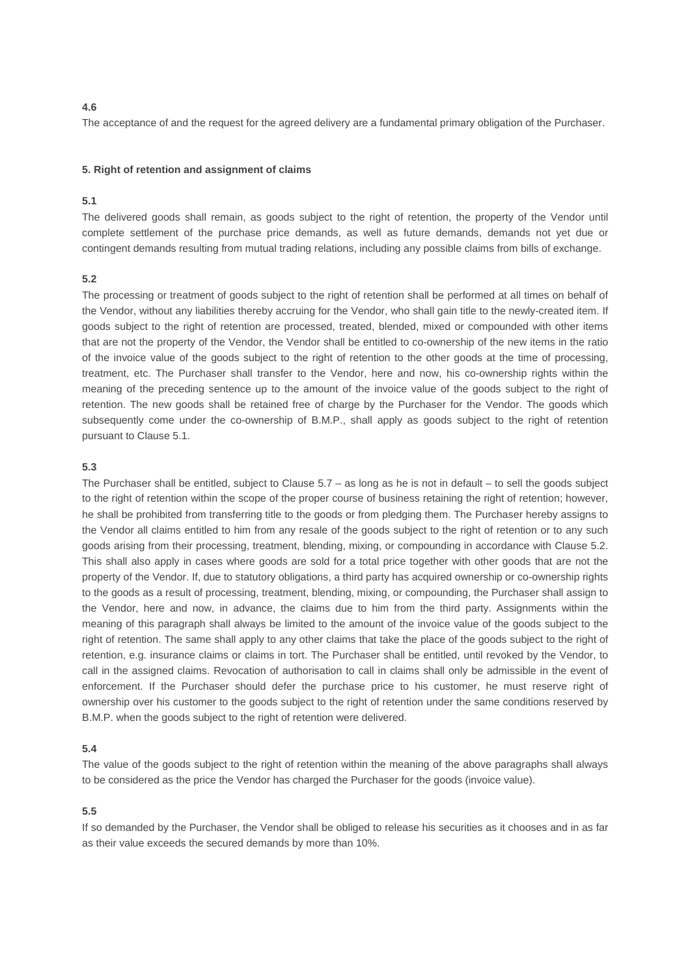#### **4.6**

The acceptance of and the request for the agreed delivery are a fundamental primary obligation of the Purchaser.

## **5. Right of retention and assignment of claims**

## **5.1**

The delivered goods shall remain, as goods subject to the right of retention, the property of the Vendor until complete settlement of the purchase price demands, as well as future demands, demands not yet due or contingent demands resulting from mutual trading relations, including any possible claims from bills of exchange.

#### **5.2**

The processing or treatment of goods subject to the right of retention shall be performed at all times on behalf of the Vendor, without any liabilities thereby accruing for the Vendor, who shall gain title to the newly-created item. If goods subject to the right of retention are processed, treated, blended, mixed or compounded with other items that are not the property of the Vendor, the Vendor shall be entitled to co-ownership of the new items in the ratio of the invoice value of the goods subject to the right of retention to the other goods at the time of processing, treatment, etc. The Purchaser shall transfer to the Vendor, here and now, his co-ownership rights within the meaning of the preceding sentence up to the amount of the invoice value of the goods subject to the right of retention. The new goods shall be retained free of charge by the Purchaser for the Vendor. The goods which subsequently come under the co-ownership of B.M.P., shall apply as goods subject to the right of retention pursuant to Clause 5.1.

### **5.3**

The Purchaser shall be entitled, subject to Clause  $5.7 - as$  long as he is not in default – to sell the goods subject to the right of retention within the scope of the proper course of business retaining the right of retention; however, he shall be prohibited from transferring title to the goods or from pledging them. The Purchaser hereby assigns to the Vendor all claims entitled to him from any resale of the goods subject to the right of retention or to any such goods arising from their processing, treatment, blending, mixing, or compounding in accordance with Clause 5.2. This shall also apply in cases where goods are sold for a total price together with other goods that are not the property of the Vendor. If, due to statutory obligations, a third party has acquired ownership or co-ownership rights to the goods as a result of processing, treatment, blending, mixing, or compounding, the Purchaser shall assign to the Vendor, here and now, in advance, the claims due to him from the third party. Assignments within the meaning of this paragraph shall always be limited to the amount of the invoice value of the goods subject to the right of retention. The same shall apply to any other claims that take the place of the goods subject to the right of retention, e.g. insurance claims or claims in tort. The Purchaser shall be entitled, until revoked by the Vendor, to call in the assigned claims. Revocation of authorisation to call in claims shall only be admissible in the event of enforcement. If the Purchaser should defer the purchase price to his customer, he must reserve right of ownership over his customer to the goods subject to the right of retention under the same conditions reserved by B.M.P. when the goods subject to the right of retention were delivered.

#### **5.4**

The value of the goods subject to the right of retention within the meaning of the above paragraphs shall always to be considered as the price the Vendor has charged the Purchaser for the goods (invoice value).

#### **5.5**

If so demanded by the Purchaser, the Vendor shall be obliged to release his securities as it chooses and in as far as their value exceeds the secured demands by more than 10%.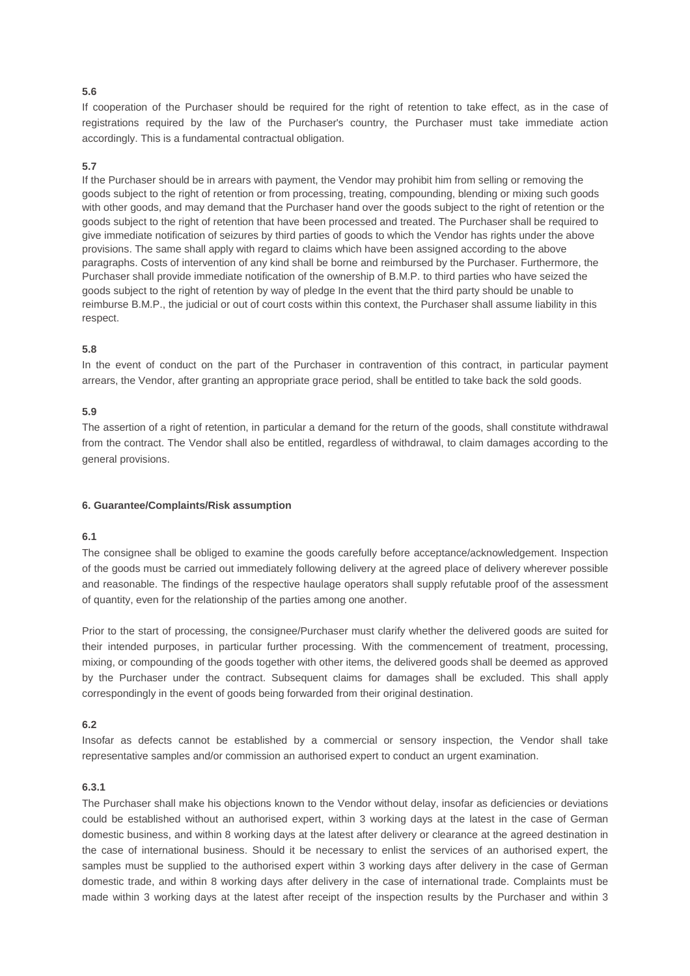## **5.6**

If cooperation of the Purchaser should be required for the right of retention to take effect, as in the case of registrations required by the law of the Purchaser's country, the Purchaser must take immediate action accordingly. This is a fundamental contractual obligation.

#### **5.7**

If the Purchaser should be in arrears with payment, the Vendor may prohibit him from selling or removing the goods subject to the right of retention or from processing, treating, compounding, blending or mixing such goods with other goods, and may demand that the Purchaser hand over the goods subject to the right of retention or the goods subject to the right of retention that have been processed and treated. The Purchaser shall be required to give immediate notification of seizures by third parties of goods to which the Vendor has rights under the above provisions. The same shall apply with regard to claims which have been assigned according to the above paragraphs. Costs of intervention of any kind shall be borne and reimbursed by the Purchaser. Furthermore, the Purchaser shall provide immediate notification of the ownership of B.M.P. to third parties who have seized the goods subject to the right of retention by way of pledge In the event that the third party should be unable to reimburse B.M.P., the judicial or out of court costs within this context, the Purchaser shall assume liability in this respect.

## **5.8**

In the event of conduct on the part of the Purchaser in contravention of this contract, in particular payment arrears, the Vendor, after granting an appropriate grace period, shall be entitled to take back the sold goods.

### **5.9**

The assertion of a right of retention, in particular a demand for the return of the goods, shall constitute withdrawal from the contract. The Vendor shall also be entitled, regardless of withdrawal, to claim damages according to the general provisions.

#### **6. Guarantee/Complaints/Risk assumption**

#### **6.1**

The consignee shall be obliged to examine the goods carefully before acceptance/acknowledgement. Inspection of the goods must be carried out immediately following delivery at the agreed place of delivery wherever possible and reasonable. The findings of the respective haulage operators shall supply refutable proof of the assessment of quantity, even for the relationship of the parties among one another.

Prior to the start of processing, the consignee/Purchaser must clarify whether the delivered goods are suited for their intended purposes, in particular further processing. With the commencement of treatment, processing, mixing, or compounding of the goods together with other items, the delivered goods shall be deemed as approved by the Purchaser under the contract. Subsequent claims for damages shall be excluded. This shall apply correspondingly in the event of goods being forwarded from their original destination.

#### **6.2**

Insofar as defects cannot be established by a commercial or sensory inspection, the Vendor shall take representative samples and/or commission an authorised expert to conduct an urgent examination.

#### **6.3.1**

The Purchaser shall make his objections known to the Vendor without delay, insofar as deficiencies or deviations could be established without an authorised expert, within 3 working days at the latest in the case of German domestic business, and within 8 working days at the latest after delivery or clearance at the agreed destination in the case of international business. Should it be necessary to enlist the services of an authorised expert, the samples must be supplied to the authorised expert within 3 working days after delivery in the case of German domestic trade, and within 8 working days after delivery in the case of international trade. Complaints must be made within 3 working days at the latest after receipt of the inspection results by the Purchaser and within 3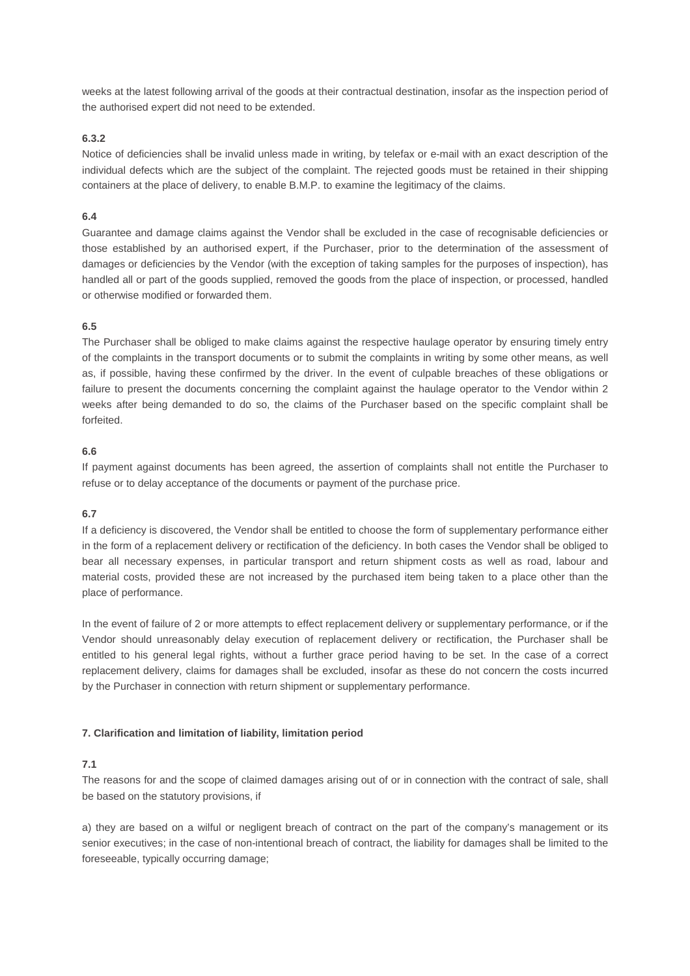weeks at the latest following arrival of the goods at their contractual destination, insofar as the inspection period of the authorised expert did not need to be extended.

## **6.3.2**

Notice of deficiencies shall be invalid unless made in writing, by telefax or e-mail with an exact description of the individual defects which are the subject of the complaint. The rejected goods must be retained in their shipping containers at the place of delivery, to enable B.M.P. to examine the legitimacy of the claims.

## **6.4**

Guarantee and damage claims against the Vendor shall be excluded in the case of recognisable deficiencies or those established by an authorised expert, if the Purchaser, prior to the determination of the assessment of damages or deficiencies by the Vendor (with the exception of taking samples for the purposes of inspection), has handled all or part of the goods supplied, removed the goods from the place of inspection, or processed, handled or otherwise modified or forwarded them.

### **6.5**

The Purchaser shall be obliged to make claims against the respective haulage operator by ensuring timely entry of the complaints in the transport documents or to submit the complaints in writing by some other means, as well as, if possible, having these confirmed by the driver. In the event of culpable breaches of these obligations or failure to present the documents concerning the complaint against the haulage operator to the Vendor within 2 weeks after being demanded to do so, the claims of the Purchaser based on the specific complaint shall be forfeited.

### **6.6**

If payment against documents has been agreed, the assertion of complaints shall not entitle the Purchaser to refuse or to delay acceptance of the documents or payment of the purchase price.

## **6.7**

If a deficiency is discovered, the Vendor shall be entitled to choose the form of supplementary performance either in the form of a replacement delivery or rectification of the deficiency. In both cases the Vendor shall be obliged to bear all necessary expenses, in particular transport and return shipment costs as well as road, labour and material costs, provided these are not increased by the purchased item being taken to a place other than the place of performance.

In the event of failure of 2 or more attempts to effect replacement delivery or supplementary performance, or if the Vendor should unreasonably delay execution of replacement delivery or rectification, the Purchaser shall be entitled to his general legal rights, without a further grace period having to be set. In the case of a correct replacement delivery, claims for damages shall be excluded, insofar as these do not concern the costs incurred by the Purchaser in connection with return shipment or supplementary performance.

#### **7. Clarification and limitation of liability, limitation period**

#### **7.1**

The reasons for and the scope of claimed damages arising out of or in connection with the contract of sale, shall be based on the statutory provisions, if

a) they are based on a wilful or negligent breach of contract on the part of the company's management or its senior executives; in the case of non-intentional breach of contract, the liability for damages shall be limited to the foreseeable, typically occurring damage;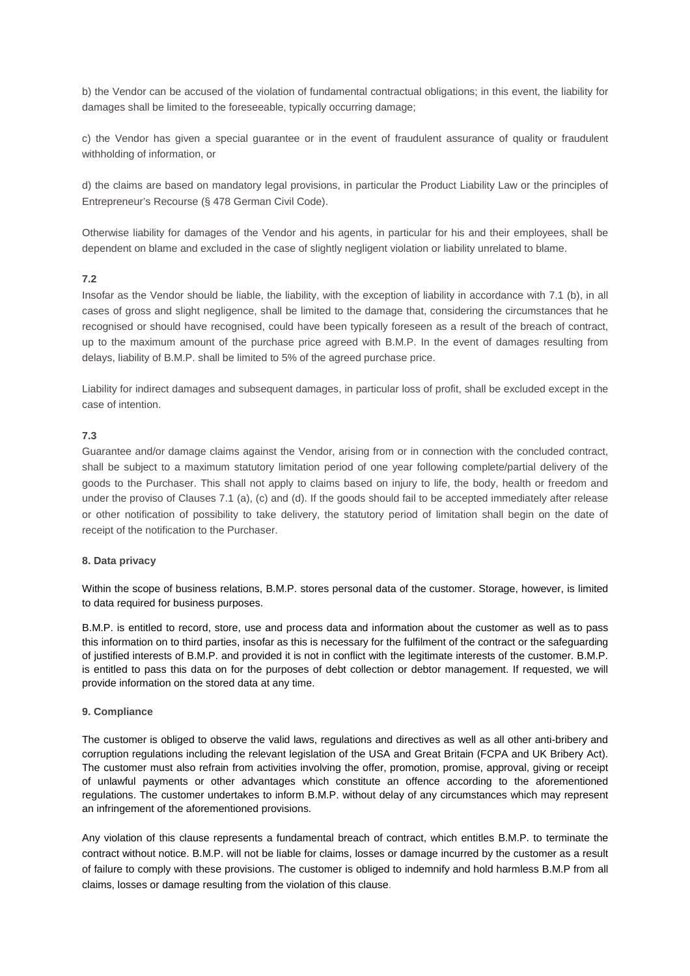b) the Vendor can be accused of the violation of fundamental contractual obligations; in this event, the liability for damages shall be limited to the foreseeable, typically occurring damage;

c) the Vendor has given a special guarantee or in the event of fraudulent assurance of quality or fraudulent withholding of information, or

d) the claims are based on mandatory legal provisions, in particular the Product Liability Law or the principles of Entrepreneur's Recourse (§ 478 German Civil Code).

Otherwise liability for damages of the Vendor and his agents, in particular for his and their employees, shall be dependent on blame and excluded in the case of slightly negligent violation or liability unrelated to blame.

### **7.2**

Insofar as the Vendor should be liable, the liability, with the exception of liability in accordance with 7.1 (b), in all cases of gross and slight negligence, shall be limited to the damage that, considering the circumstances that he recognised or should have recognised, could have been typically foreseen as a result of the breach of contract, up to the maximum amount of the purchase price agreed with B.M.P. In the event of damages resulting from delays, liability of B.M.P. shall be limited to 5% of the agreed purchase price.

Liability for indirect damages and subsequent damages, in particular loss of profit, shall be excluded except in the case of intention.

## **7.3**

Guarantee and/or damage claims against the Vendor, arising from or in connection with the concluded contract, shall be subject to a maximum statutory limitation period of one year following complete/partial delivery of the goods to the Purchaser. This shall not apply to claims based on injury to life, the body, health or freedom and under the proviso of Clauses 7.1 (a), (c) and (d). If the goods should fail to be accepted immediately after release or other notification of possibility to take delivery, the statutory period of limitation shall begin on the date of receipt of the notification to the Purchaser.

#### **8. Data privacy**

Within the scope of business relations, B.M.P. stores personal data of the customer. Storage, however, is limited to data required for business purposes.

B.M.P. is entitled to record, store, use and process data and information about the customer as well as to pass this information on to third parties, insofar as this is necessary for the fulfilment of the contract or the safeguarding of justified interests of B.M.P. and provided it is not in conflict with the legitimate interests of the customer. B.M.P. is entitled to pass this data on for the purposes of debt collection or debtor management. If requested, we will provide information on the stored data at any time.

#### **9. Compliance**

The customer is obliged to observe the valid laws, regulations and directives as well as all other anti-bribery and corruption regulations including the relevant legislation of the USA and Great Britain (FCPA and UK Bribery Act). The customer must also refrain from activities involving the offer, promotion, promise, approval, giving or receipt of unlawful payments or other advantages which constitute an offence according to the aforementioned regulations. The customer undertakes to inform B.M.P. without delay of any circumstances which may represent an infringement of the aforementioned provisions.

Any violation of this clause represents a fundamental breach of contract, which entitles B.M.P. to terminate the contract without notice. B.M.P. will not be liable for claims, losses or damage incurred by the customer as a result of failure to comply with these provisions. The customer is obliged to indemnify and hold harmless B.M.P from all claims, losses or damage resulting from the violation of this clause.